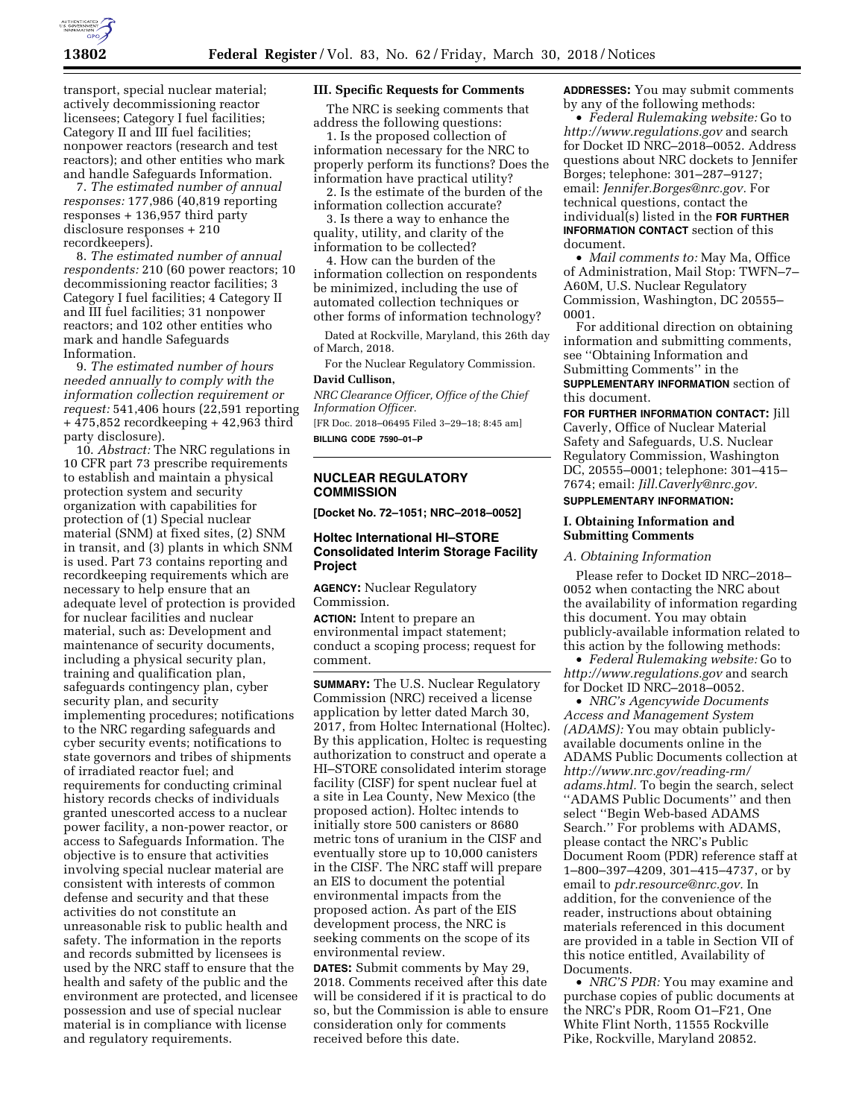

transport, special nuclear material; actively decommissioning reactor licensees; Category I fuel facilities; Category II and III fuel facilities; nonpower reactors (research and test reactors); and other entities who mark and handle Safeguards Information.

7. *The estimated number of annual responses:* 177,986 (40,819 reporting responses + 136,957 third party disclosure responses + 210 recordkeepers).

8. *The estimated number of annual respondents:* 210 (60 power reactors; 10 decommissioning reactor facilities; 3 Category I fuel facilities; 4 Category II and III fuel facilities; 31 nonpower reactors; and 102 other entities who mark and handle Safeguards Information.

9. *The estimated number of hours needed annually to comply with the information collection requirement or request:* 541,406 hours (22,591 reporting + 475,852 recordkeeping + 42,963 third party disclosure).

10. *Abstract:* The NRC regulations in 10 CFR part 73 prescribe requirements to establish and maintain a physical protection system and security organization with capabilities for protection of (1) Special nuclear material (SNM) at fixed sites, (2) SNM in transit, and (3) plants in which SNM is used. Part 73 contains reporting and recordkeeping requirements which are necessary to help ensure that an adequate level of protection is provided for nuclear facilities and nuclear material, such as: Development and maintenance of security documents, including a physical security plan, training and qualification plan, safeguards contingency plan, cyber security plan, and security implementing procedures; notifications to the NRC regarding safeguards and cyber security events; notifications to state governors and tribes of shipments of irradiated reactor fuel; and requirements for conducting criminal history records checks of individuals granted unescorted access to a nuclear power facility, a non-power reactor, or access to Safeguards Information. The objective is to ensure that activities involving special nuclear material are consistent with interests of common defense and security and that these activities do not constitute an unreasonable risk to public health and safety. The information in the reports and records submitted by licensees is used by the NRC staff to ensure that the health and safety of the public and the environment are protected, and licensee possession and use of special nuclear material is in compliance with license and regulatory requirements.

## **III. Specific Requests for Comments**

The NRC is seeking comments that address the following questions:

1. Is the proposed collection of information necessary for the NRC to properly perform its functions? Does the information have practical utility?

2. Is the estimate of the burden of the information collection accurate?

3. Is there a way to enhance the quality, utility, and clarity of the information to be collected?

4. How can the burden of the information collection on respondents be minimized, including the use of automated collection techniques or other forms of information technology?

Dated at Rockville, Maryland, this 26th day of March, 2018.

For the Nuclear Regulatory Commission.

## **David Cullison,**

*NRC Clearance Officer, Office of the Chief Information Officer.* 

[FR Doc. 2018–06495 Filed 3–29–18; 8:45 am] **BILLING CODE 7590–01–P** 

## **NUCLEAR REGULATORY COMMISSION**

**[Docket No. 72–1051; NRC–2018–0052]** 

## **Holtec International HI–STORE Consolidated Interim Storage Facility Project**

**AGENCY:** Nuclear Regulatory Commission.

**ACTION:** Intent to prepare an environmental impact statement; conduct a scoping process; request for comment.

**SUMMARY:** The U.S. Nuclear Regulatory Commission (NRC) received a license application by letter dated March 30, 2017, from Holtec International (Holtec). By this application, Holtec is requesting authorization to construct and operate a HI–STORE consolidated interim storage facility (CISF) for spent nuclear fuel at a site in Lea County, New Mexico (the proposed action). Holtec intends to initially store 500 canisters or 8680 metric tons of uranium in the CISF and eventually store up to 10,000 canisters in the CISF. The NRC staff will prepare an EIS to document the potential environmental impacts from the proposed action. As part of the EIS development process, the NRC is seeking comments on the scope of its environmental review.

**DATES:** Submit comments by May 29, 2018. Comments received after this date will be considered if it is practical to do so, but the Commission is able to ensure consideration only for comments received before this date.

**ADDRESSES:** You may submit comments by any of the following methods:

• *Federal Rulemaking website:* Go to *<http://www.regulations.gov>* and search for Docket ID NRC–2018–0052. Address questions about NRC dockets to Jennifer Borges; telephone: 301–287–9127; email: *[Jennifer.Borges@nrc.gov.](mailto:Jennifer.Borges@nrc.gov)* For technical questions, contact the individual(s) listed in the **FOR FURTHER INFORMATION CONTACT** section of this document.

• *Mail comments to:* May Ma, Office of Administration, Mail Stop: TWFN–7– A60M, U.S. Nuclear Regulatory Commission, Washington, DC 20555– 0001.

For additional direction on obtaining information and submitting comments, see ''Obtaining Information and Submitting Comments'' in the **SUPPLEMENTARY INFORMATION** section of this document.

**FOR FURTHER INFORMATION CONTACT:** Jill Caverly, Office of Nuclear Material Safety and Safeguards, U.S. Nuclear Regulatory Commission, Washington DC, 20555–0001; telephone: 301–415– 7674; email: *[Jill.Caverly@nrc.gov.](mailto:Jill.Caverly@nrc.gov)*  **SUPPLEMENTARY INFORMATION:** 

## **I. Obtaining Information and Submitting Comments**

## *A. Obtaining Information*

Please refer to Docket ID NRC–2018– 0052 when contacting the NRC about the availability of information regarding this document. You may obtain publicly-available information related to this action by the following methods:

• *Federal Rulemaking website:* Go to *<http://www.regulations.gov>* and search for Docket ID NRC–2018–0052.

• *NRC's Agencywide Documents Access and Management System (ADAMS):* You may obtain publiclyavailable documents online in the ADAMS Public Documents collection at *[http://www.nrc.gov/reading-rm/](http://www.nrc.gov/reading-rm/adams.html)  [adams.html.](http://www.nrc.gov/reading-rm/adams.html)* To begin the search, select ''ADAMS Public Documents'' and then select ''Begin Web-based ADAMS Search.'' For problems with ADAMS, please contact the NRC's Public Document Room (PDR) reference staff at 1–800–397–4209, 301–415–4737, or by email to *[pdr.resource@nrc.gov.](mailto:pdr.resource@nrc.gov)* In addition, for the convenience of the reader, instructions about obtaining materials referenced in this document are provided in a table in Section VII of this notice entitled, Availability of Documents.

• *NRC'S PDR:* You may examine and purchase copies of public documents at the NRC's PDR, Room O1–F21, One White Flint North, 11555 Rockville Pike, Rockville, Maryland 20852.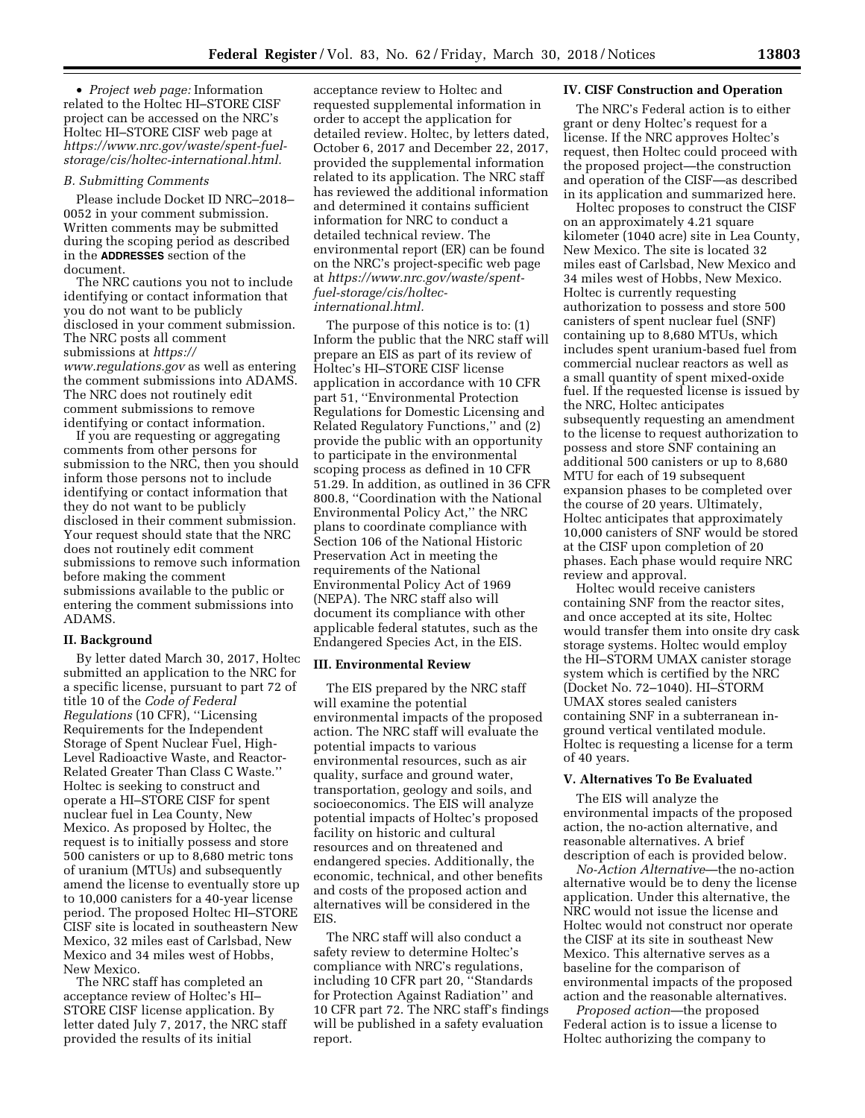• *Project web page:* Information related to the Holtec HI–STORE CISF project can be accessed on the NRC's Holtec HI–STORE CISF web page at *[https://www.nrc.gov/waste/spent-fuel](https://www.nrc.gov/waste/spent-fuel-storage/cis/holtec-international.html)[storage/cis/holtec-international.html.](https://www.nrc.gov/waste/spent-fuel-storage/cis/holtec-international.html)* 

#### *B. Submitting Comments*

Please include Docket ID NRC–2018– 0052 in your comment submission. Written comments may be submitted during the scoping period as described in the **ADDRESSES** section of the document.

The NRC cautions you not to include identifying or contact information that you do not want to be publicly disclosed in your comment submission. The NRC posts all comment submissions at *[https://](https://www.regulations.gov) [www.regulations.gov](https://www.regulations.gov)* as well as entering the comment submissions into ADAMS. The NRC does not routinely edit comment submissions to remove identifying or contact information.

If you are requesting or aggregating comments from other persons for submission to the NRC, then you should inform those persons not to include identifying or contact information that they do not want to be publicly disclosed in their comment submission. Your request should state that the NRC does not routinely edit comment submissions to remove such information before making the comment submissions available to the public or entering the comment submissions into ADAMS.

## **II. Background**

By letter dated March 30, 2017, Holtec submitted an application to the NRC for a specific license, pursuant to part 72 of title 10 of the *Code of Federal Regulations* (10 CFR), ''Licensing Requirements for the Independent Storage of Spent Nuclear Fuel, High-Level Radioactive Waste, and Reactor-Related Greater Than Class C Waste.'' Holtec is seeking to construct and operate a HI–STORE CISF for spent nuclear fuel in Lea County, New Mexico. As proposed by Holtec, the request is to initially possess and store 500 canisters or up to 8,680 metric tons of uranium (MTUs) and subsequently amend the license to eventually store up to 10,000 canisters for a 40-year license period. The proposed Holtec HI–STORE CISF site is located in southeastern New Mexico, 32 miles east of Carlsbad, New Mexico and 34 miles west of Hobbs, New Mexico.

The NRC staff has completed an acceptance review of Holtec's HI– STORE CISF license application. By letter dated July 7, 2017, the NRC staff provided the results of its initial

acceptance review to Holtec and requested supplemental information in order to accept the application for detailed review. Holtec, by letters dated, October 6, 2017 and December 22, 2017, provided the supplemental information related to its application. The NRC staff has reviewed the additional information and determined it contains sufficient information for NRC to conduct a detailed technical review. The environmental report (ER) can be found on the NRC's project-specific web page at *[https://www.nrc.gov/waste/spent](https://www.nrc.gov/waste/spent-fuel-storage/cis/holtec-international.html)[fuel-storage/cis/holtec](https://www.nrc.gov/waste/spent-fuel-storage/cis/holtec-international.html)[international.html.](https://www.nrc.gov/waste/spent-fuel-storage/cis/holtec-international.html)* 

The purpose of this notice is to: (1) Inform the public that the NRC staff will prepare an EIS as part of its review of Holtec's HI–STORE CISF license application in accordance with 10 CFR part 51, ''Environmental Protection Regulations for Domestic Licensing and Related Regulatory Functions,'' and (2) provide the public with an opportunity to participate in the environmental scoping process as defined in 10 CFR 51.29. In addition, as outlined in 36 CFR 800.8, ''Coordination with the National Environmental Policy Act,'' the NRC plans to coordinate compliance with Section 106 of the National Historic Preservation Act in meeting the requirements of the National Environmental Policy Act of 1969 (NEPA). The NRC staff also will document its compliance with other applicable federal statutes, such as the Endangered Species Act, in the EIS.

## **III. Environmental Review**

The EIS prepared by the NRC staff will examine the potential environmental impacts of the proposed action. The NRC staff will evaluate the potential impacts to various environmental resources, such as air quality, surface and ground water, transportation, geology and soils, and socioeconomics. The EIS will analyze potential impacts of Holtec's proposed facility on historic and cultural resources and on threatened and endangered species. Additionally, the economic, technical, and other benefits and costs of the proposed action and alternatives will be considered in the EIS.

The NRC staff will also conduct a safety review to determine Holtec's compliance with NRC's regulations, including 10 CFR part 20, ''Standards for Protection Against Radiation'' and 10 CFR part 72. The NRC staff's findings will be published in a safety evaluation report.

## **IV. CISF Construction and Operation**

The NRC's Federal action is to either grant or deny Holtec's request for a license. If the NRC approves Holtec's request, then Holtec could proceed with the proposed project—the construction and operation of the CISF—as described in its application and summarized here.

Holtec proposes to construct the CISF on an approximately 4.21 square kilometer (1040 acre) site in Lea County, New Mexico. The site is located 32 miles east of Carlsbad, New Mexico and 34 miles west of Hobbs, New Mexico. Holtec is currently requesting authorization to possess and store 500 canisters of spent nuclear fuel (SNF) containing up to 8,680 MTUs, which includes spent uranium-based fuel from commercial nuclear reactors as well as a small quantity of spent mixed-oxide fuel. If the requested license is issued by the NRC, Holtec anticipates subsequently requesting an amendment to the license to request authorization to possess and store SNF containing an additional 500 canisters or up to 8,680 MTU for each of 19 subsequent expansion phases to be completed over the course of 20 years. Ultimately, Holtec anticipates that approximately 10,000 canisters of SNF would be stored at the CISF upon completion of 20 phases. Each phase would require NRC review and approval.

Holtec would receive canisters containing SNF from the reactor sites, and once accepted at its site, Holtec would transfer them into onsite dry cask storage systems. Holtec would employ the HI–STORM UMAX canister storage system which is certified by the NRC (Docket No. 72–1040). HI–STORM UMAX stores sealed canisters containing SNF in a subterranean inground vertical ventilated module. Holtec is requesting a license for a term of 40 years.

#### **V. Alternatives To Be Evaluated**

The EIS will analyze the environmental impacts of the proposed action, the no-action alternative, and reasonable alternatives. A brief description of each is provided below.

*No-Action Alternative*—the no-action alternative would be to deny the license application. Under this alternative, the NRC would not issue the license and Holtec would not construct nor operate the CISF at its site in southeast New Mexico. This alternative serves as a baseline for the comparison of environmental impacts of the proposed action and the reasonable alternatives.

*Proposed action*—the proposed Federal action is to issue a license to Holtec authorizing the company to